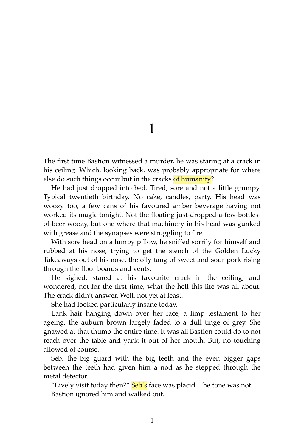1

The first time Bastion witnessed a murder, he was staring at a crack in his ceiling. Which, looking back, was probably appropriate for where else do such things occur but in the cracks of humanity?

He had just dropped into bed. Tired, sore and not a little grumpy. Typical twentieth birthday. No cake, candles, party. His head was woozy too, a few cans of his favoured amber beverage having not worked its magic tonight. Not the floating just-dropped-a-few-bottlesof-beer woozy, but one where that machinery in his head was gunked with grease and the synapses were struggling to fire.

With sore head on a lumpy pillow, he sniffed sorrily for himself and rubbed at his nose, trying to get the stench of the Golden Lucky Takeaways out of his nose, the oily tang of sweet and sour pork rising through the floor boards and vents.

He sighed, stared at his favourite crack in the ceiling, and wondered, not for the first time, what the hell this life was all about. The crack didn't answer. Well, not yet at least.

She had looked particularly insane today.

Lank hair hanging down over her face, a limp testament to her ageing, the auburn brown largely faded to a dull tinge of grey. She gnawed at that thumb the entire time. It was all Bastion could do to not reach over the table and yank it out of her mouth. But, no touching allowed of course.

Seb, the big guard with the big teeth and the even bigger gaps between the teeth had given him a nod as he stepped through the metal detector.

"Lively visit today then?" Seb's face was placid. The tone was not. Bastion ignored him and walked out.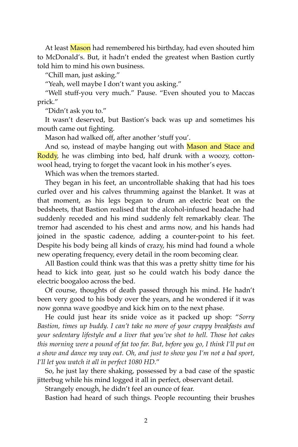At least Mason had remembered his birthday, had even shouted him to McDonald's. But, it hadn't ended the greatest when Bastion curtly told him to mind his own business.

"Chill man, just asking."

"Yeah, well maybe I don't want you asking."

"Well stuff-you very much." Pause. "Even shouted you to Maccas prick."

"Didn't ask you to."

It wasn't deserved, but Bastion's back was up and sometimes his mouth came out fighting.

Mason had walked off, after another 'stuff you'.

And so, instead of maybe hanging out with Mason and Stace and Roddy, he was climbing into bed, half drunk with a woozy, cottonwool head, trying to forget the vacant look in his mother's eyes.

Which was when the tremors started.

They began in his feet, an uncontrollable shaking that had his toes curled over and his calves thrumming against the blanket. It was at that moment, as his legs began to drum an electric beat on the bedsheets, that Bastion realised that the alcohol-infused headache had suddenly receded and his mind suddenly felt remarkably clear. The tremor had ascended to his chest and arms now, and his hands had joined in the spastic cadence, adding a counter-point to his feet. Despite his body being all kinds of crazy, his mind had found a whole new operating frequency, every detail in the room becoming clear.

All Bastion could think was that this was a pretty shitty time for his head to kick into gear, just so he could watch his body dance the electric boogaloo across the bed.

Of course, thoughts of death passed through his mind. He hadn't been very good to his body over the years, and he wondered if it was now gonna wave goodbye and kick him on to the next phase.

He could just hear its snide voice as it packed up shop: "*Sorry Bastion, times up buddy. I can't take no more of your crappy breakfasts and your sedentary lifestyle and a liver that you've shot to hell. Those hot cakes this morning were a pound of fat too far. But, before you go, I think I'll put on a show and dance my way out. Oh, and just to show you I'm not a bad sport, I'll let you watch it all in perfect 1080 HD.*"

So, he just lay there shaking, possessed by a bad case of the spastic jitterbug while his mind logged it all in perfect, observant detail.

Strangely enough, he didn't feel an ounce of fear.

Bastion had heard of such things. People recounting their brushes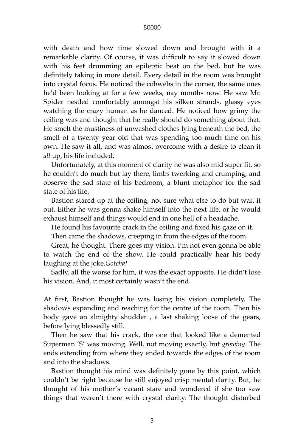## 80000

with death and how time slowed down and brought with it a remarkable clarity. Of course, it was difficult to say it slowed down with his feet drumming an epileptic beat on the bed, but he was definitely taking in more detail. Every detail in the room was brought into crystal focus. He noticed the cobwebs in the corner, the same ones he'd been looking at for a few weeks, nay months now. He saw Mr. Spider nestled comfortably amongst his silken strands, glassy eyes watching the crazy human as he danced. He noticed how grimy the ceiling was and thought that he really should do something about that. He smelt the mustiness of unwashed clothes lying beneath the bed, the smell of a twenty year old that was spending too much time on his own. He saw it all, and was almost overcome with a desire to clean it *all* up, his life included.

Unfortunately, at this moment of clarity he was also mid super fit, so he couldn't do much but lay there, limbs twerking and crumping, and observe the sad state of his bedroom, a blunt metaphor for the sad state of his life.

Bastion stared up at the ceiling, not sure what else to do but wait it out. Either he was gonna shake himself into the next life, or he would exhaust himself and things would end in one hell of a headache.

He found his favourite crack in the ceiling and fixed his gaze on it.

Then came the shadows, creeping in from the edges of the room.

Great, he thought. There goes my vision. I'm not even gonna be able to watch the end of the show. He could practically hear his body laughing at the joke.*Gotcha!*

Sadly, all the worse for him, it was the exact opposite. He didn't lose his vision. And, it most certainly wasn't the end.

At first, Bastion thought he was losing his vision completely. The shadows expanding and reaching for the centre of the room. Then his body gave an almighty shudder , a last shaking loose of the gears, before lying blessedly still.

Then he saw that his crack, the one that looked like a demented Superman 'S' was moving. Well, not moving exactly, but *growing*. The ends extending from where they ended towards the edges of the room and into the shadows.

Bastion thought his mind was definitely gone by this point, which couldn't be right because he still enjoyed crisp mental clarity. But, he thought of his mother's vacant stare and wondered if she too saw things that weren't there with crystal clarity. The thought disturbed